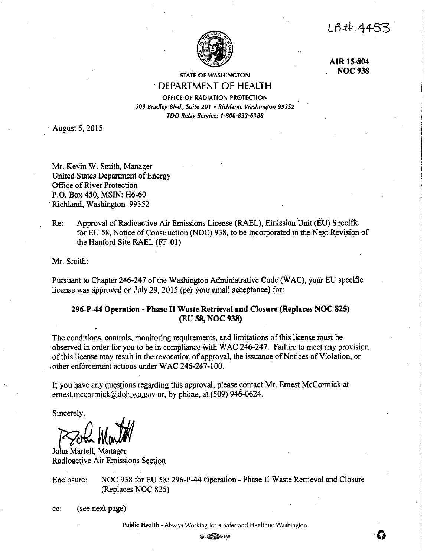$184.44$ 



**AIR15-804 NOC938** 

# STATE OF WASHINGTON · DEPARTMENT OF HEALTH

OFFICE OF RADIATION PROTECTION 309 Bradley Blvd., Suite 201 · Richland, Washington 99352 *TDD Relay Service: 1 ·800-8.13-6.188* 

· August *5,* 2015

Mr; Kevin W. Smith, Manager United.States Department of Energy Office of River Protection P.O. Box 450, MSIN: H6-60 Richland, Washington 99352

Re: Approval of Radioactive Air Emissions License (RAEL), Emission Unit (EU) Specific for EU 58, Notice of Construction (NOC) 938, to be Incorporated in the Next Revision of the Hanford Site RAEL (FF-01)

Mr. Smith:

Pursuant to Chapter 246-247 of the Washington Administrative Code (WAC), your EU specific license was approved on July 29, 2015 (per your email acceptance) for:

# **296-P-44 Operation** - **Phase** II **Waste Retrieval and Closure (Replaces NOC 825) (EU 58, NOC 938)**

The conditions, controls, monitoring requirements, and limitations of this license must be observed in order for you to be in compliance with WAC 246-247. Failure to meet any provision of this license may result in the revocation of approval, the issuance of Notices of Violation, or ,other enforcement actions under WAC 246-247° I 00.

If you have any questions regarding this approval, please contact Mr. Ernest McCormick at ernest.mccornick@doh.wa.gov or, by phone, at (509) 946-0624.

Sincerely,

John Martell, Manager Radioactive Air Emissions Section

Enclosure: NOC 938 for EU 58: 296-P-44 Operation - Phase II Waste Retrieval and Closure (Replaces NOC 825)

cc: (see next page)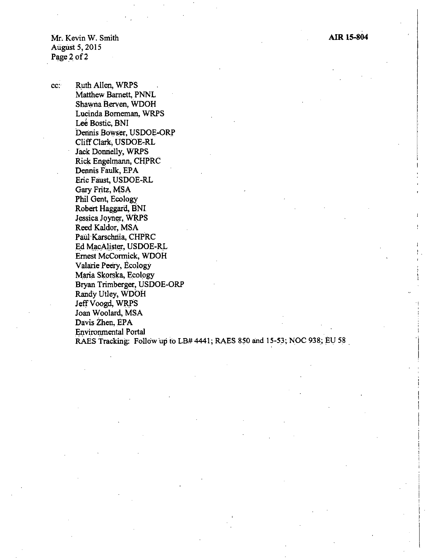: .

Mr, Kevin W. Smith August 5, 2015 Page 2 of 2

cc: R\_uth Allen, WRPS Matthew Barnett, PNNL Shawna Berven, WDOH Lucinda Borneman, WRPS Lee Bostic, BNI Dennis Bowser, USDOE-ORP Cliff Clark, USDOE-RL Jack Donnelly, WRPS Rick Engelmann, CHPRC Dennis Faulk, EPA Eric Faust, USDOE-RL Gary Fritz, MSA Phil Gent, Ecology Robert Haggard, BNI Jessica Joyner, WRPS Reed Kaldor, MSA Paul Karschriia, CHPRC Ed MacAlister, USDOE-RL Ernest McCormick, WDOH Valarie Peery, Ecology Maria Skorska, Ecology Bryan Trimberger, USDOE-ORP Randy Utley, WDOH JeffVoogd, **WRPS**  Joan Woolard, MSA Davis Zhen, EPA Environmental Portal RAES Tracking: Follow up to  $LB#4441$ ; RAES 850 and 15-53; NOC 938; EU 58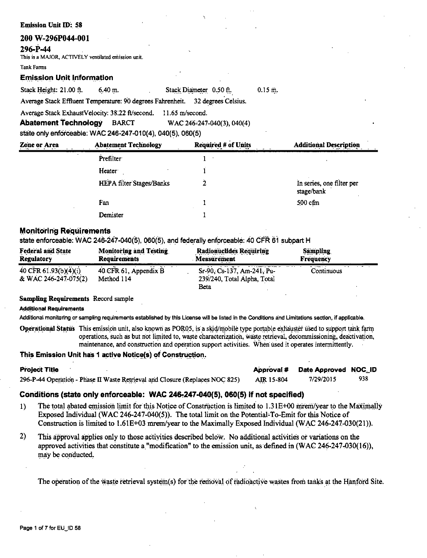## **Emission Unit ID: 58**

## 200 W-296P044-001

## 296-P-44

This is a MAJOR, ACTIVELY ventilated emission unit.

#### **Tank Farms**

## **Emission Unit Information**

Stack Height: 21.00 ft.  $6.40 m.$ 

Stack Diameter 0.50 ft.  $0.15 \text{ m}$ . Average Stack Effluent Temperature: 90 degrees Fahrenheit. 32 degrees Celsius.

Average Stack ExhaustVelocity: 38.22 ft/second. 11.65 m/second.

**Abatement Technology BARCT** WAC 246-247-040(3), 040(4)

state only enforceable: WAC 246-247-010(4), 040(5), 060(5)

| <b>Zone or Area</b> | <b>Abatement Technology</b> | <b>Required # of Units</b> | <b>Additional Description</b>           |
|---------------------|-----------------------------|----------------------------|-----------------------------------------|
|                     | Prefilter                   |                            |                                         |
|                     | Heater                      |                            |                                         |
|                     | HEPA filter Stages/Banks    |                            | In series, one filter per<br>stage/bank |
|                     | Fan                         |                            | $500$ cfm                               |
|                     | Demister                    |                            |                                         |

## **Monitoring Requirements**

state enforceable: WAC 246-247-040(5), 060(5), and federally enforceable: 40 CFR 61 subpart H

| <b>Federal and State</b>                      | <b>Monitoring and Testing</b>       | <b>Radionuclides Requiring</b>                                    | <b>Sampling</b>  |
|-----------------------------------------------|-------------------------------------|-------------------------------------------------------------------|------------------|
| <b>Regulatory</b>                             | <b>Requirements</b>                 | <b>Measurement</b>                                                | <b>Frequency</b> |
| 40 CFR 61.93(b)(4)(i)<br>& WAC 246-247-075(2) | 40 CFR 61, Appendix B<br>Method 114 | Sr-90, Cs-137, Am-241, Pu-<br>239/240, Total Alpha, Total<br>Beta | Continuous       |

## **Sampling Requirements Record sample**

**Additional Requirements** 

Additional monitoring or sampling requirements established by this License will be listed in the Conditions and Limitations section, if applicable.

Operational Status This emission unit, also known as POR05, is a skid/mobile type portable exhauster used to support tank farm operations, such as but not limited to, waste characterization, waste retrieval, decommissioning, deactivation, maintenance, and construction and operation support activities. When used it operates intermittently.

## This Emission Unit has 1 active Notice(s) of Construction.

| <b>Project Title</b>                                                         |            | Approval # Date Approved NOC_ID |     |
|------------------------------------------------------------------------------|------------|---------------------------------|-----|
| 296-P-44 Operation - Phase II Waste Retrieval and Closure (Replaces NOC 825) | AIR 15-804 | 7/29/2015                       | 938 |

# Conditions (state only enforceable: WAC 246-247-040(5), 060(5) if not specified)

- The total abated emission limit for this Notice of Construction is limited to 1.31E+00 mrem/year to the Maximally  $1)$ Exposed Individual (WAC 246-247-040(5)). The total limit on the Potential-To-Emit for this Notice of Construction is limited to 1.61E+03 mrem/year to the Maximally Exposed Individual (WAC 246-247-030(21)).
- $2)$ This approval applies only to those activities described below. No additional activities or variations on the approved activities that constitute a "modification" to the emission unit, as defined in (WAC 246-247-030(16)), may be conducted.

The operation of the waste retrieval system(s) for the removal of radioactive wastes from tanks at the Hanford Site.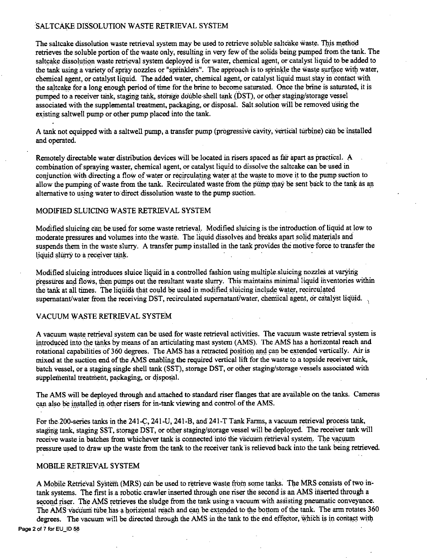## SALTCAKE DISSOLUTION WASTE RETRIEVAL SYSTEM

The saltcake dissolution waste retrieval system may be used to retrieve soluble saltcake waste. This method retrieves the soluble portion of the waste only, resulting in very few of the solids being pumped from the tank. The saltcake dissolution waste retrieval system deployed is for water, chemical agent, or catalyst liquid to be added to the tank using a variety of spray nozzles or "sprinklers". The approach is to sprinkle the waste surface with water. chemical agent, or catalyst liquid. The added water, chemical agent, or catalyst liquid must.stay in contact with the saltcake for a long enough period of time for the brine to become saturated. Once the brine is saturated, it is pumped to a receiver tank, staging tank, storage double-shell tank (DST), or oilier staging/storage vessel associated with the supplemental treatment, packaging, or disposal. Salt solution will be removed using the existing saltwell pump or other pump placed into the tank.

A tank not equipped with a saltwell pump, a transfer pump (progressive cavity, vertical turbine) can be installed and operated.

Remotely directable water distribution devices will be located in risers spaced as far apart as practical. A combination of spraying waster; chemical agent, or catalyst liquid to dissolve the saltcake can be used in conjunction with directing a flow of water or recirculating water at the waste to move it to the pump suction to allow the pumping of waste from the tank. Recirculated waste from the pump may be sent back to the tank as an alternative to using water to direct dissolution waste to the pump suction.

## MODIFIED SLUICING WASTE RETRIEVAL SYSTEM

Modified sluicing can be used for some waste retrieval. Modified sluicing is the introduction of liquid at low to moderate pressures and volumes into the waste. The liquid dissolves and breaks apart solid materials and suspends them in the waste slurry. A transfer pump installed in the tank provides the motive-force to transfer- the liquid slurry to a receiver tank.

Modified sluicing introduces sluice liquid in a controlled fashion using multiple sluicing nozzles at varying pressures and flows, then pumps out the resultant waste slurry. This maintains minimal liquid inventories within the tank at all times. The liquids that could be used in modified sluicing include water, recirculated supernatant/water from the receiving DST, recirculated supernatant/water, chemical agent, or catalyst liquid.

## VACUUM WASTE RETRIEVAL SYSTEM

A vacuum waste retrieval system can be used for waste retrieval activities. The vacuum waste retrieval system is introduced into the tanks by means of an articulating mast system (AMS). The AMS has a horizontal reach and rotational capabilities of 360 degrees. The AMS has a retracted position and can be extended vertically. Air is mixed at the suction end of the AMS enabling the required vertical lift for the waste to a topside receiver tank, batch vessel, or a staging single shell tank (SST), storage DST, or other staging/storage vessels associated with supplemental treatment, packaging, or disposal.

The AMS will be deployed through and attached to standard riser flanges that are available on the tanks. Cameras can also be installed in other risers for in-tank viewing and control-of the AMS.

For the 200-series tanks in the 241-C, 241-U, 241-B, and 241-T Tank Farms, a vacuum retrieval process tank, staging tank, staging SST, storage DST, or other staging/storage vessel will be deployed. The receiver tank will receive waste in batches from whichever tank is connected into the vacuum retrieval system. The vacuum pressure used to draw up the waste from the tank to the receiver tank'is relieved back into the tank being retrieved.

## MOBILE RETRIEVAL SYSTEM

A Mobile Retrieval System (MRS) can be used to retrieve waste from some tanks. The MRS consists of two intank systems. The first is a robotic crawler inserted through one riser the second is an AMS inserted through a second riser. The AMS retrieves the sludge from the tank using•a vacuum with assisting pneumatic conveyance. The AMS vacuum tube has a horizontal reach and can be extended to the bottom of the tank. The arm rotates 360 degrees. The vacuum will be directed through the AMS in the tank to the end effector, which is in contact with Page 2 of 7 for EU\_ID 58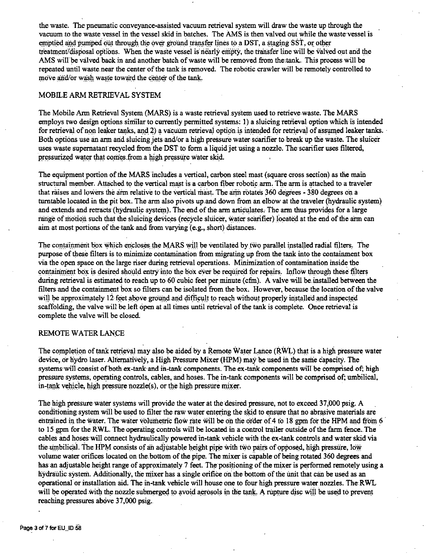the waste. The pneumatic conveyance-assisted vacuum retrieval system will draw the waste up through the vacuum to the waste vessel in the vessel skid in batches. The AMS is then valved out while the waste·vessel 'is emptied and pumped out through the over ground transfer lines to a DST, a staging SST, or other treatment/disposal options. When the waste vessel is nearly empty, the transfer line will be valved out and the AMS will be valved back in and another batch of waste will be removed from the:tank. This process will be repeated until waste.neat the center of the tarik is removed. The robotic crawler will be remotely controlled to move and/or wash waste toward the center of the tank.

## MOBILE ARM RETRIEVAL SYSTEM

The Mobile Arm Retrieval System (MARS) is a waste retrieval system used to retrieve waste. The MARS employs two design options similar to currently permitted systems: I) a sluicing retrieval option which is intended for retrieval of non leaker tanks, and 2) a vacuum retrieval option is intended for retrieval of assumed leaker tanks. Both options use an arm and sluicing jets and/or a high pressure water scarifier to break up the waste. The sluicer uses waste supernatant recycled from the DST to form a liquid jet using a nozzle. The scarifier uses filtered, pressurized water that comes from a high pressure water skid.

The equipment portion of the MARS 'includes a vertical, carbon steel mast (square cross section) as the main structural member. Attached to the vertical mast is a carbon fiber robotic arm. The arm is attached to a traveler that raises and lowers the arm relative to the vertical mast. The arm rotates 360 degrees - 380 degrees on a turntable located in the pit box. The arm also pivots up.and down from an elbow at the traveler (hydraulic system) and extends and retracts (hydraulic system). The end of the arm articulates. The arm thus provides for a large range of motion such that the sluicing devices (recycle sluicer, water scarifier) located at the end of the arm can aim at most portions of the tank and from varying  $(e.g., short)$  distances.

The containment box which encloses the MARS will be ventilated by two parallel installed radial filters. The purpose of these filters is to minimize contamination from migrating up from the tank into the containment box via the open space on the large riser during retrieval operations. Minimization of contamination inside the containment box is desired should entry into the box ever be required for repairs. Inflow through these filters during retrieval is estimated to reach up to 60 cubic feet per minute (cfm). A valve will be installed between the filters and the containment box so filters can be isolated from the box. However, because the location of the valve will be approximately 12 feet above ground and difficult to reach without properly installed and inspected scaffolding, the valve will be left.open at all times until retrieval of the tank is complete. Once retrieval is complete the valve will be closed.

## REMOTE WATER LANCE

The completion of tank retrieval may also be aided by a Remote Water Lance (RWL) that is a high pressure water device, or hydro laser. Alternatively, a High Pressure Mixer (HPM) may be used in the same capacity. The systems will consist of both ex-tank and in-tank components. The ex-tank components will be comprised of; high pressure systems; operating controls, cables, and hoses. The in-tank components will be comprised of; umbilical, in-tank vehicle, high pressure  $nozzle(s)$ , or the high pressure mixer.

The high pressure water systems will provide the water at the desired pressure, not to exceed 37,000 psig. A conditioning system will be used to filter the raw water entering the skid to ensure that no abrasive materials are entrained in the water. The water volumetric flow rate will be on the order of 4 to 18 gpm for the HPM and from 6 to 15 gpm for the RWL. The operating controls will be located in a control trailer outside of the farm fence. The cables and hoses will connect hydraulically powered in-tank vehicle with the ex-tank controls and water skid via the umbilical. The HPM consists of an adjustable height pipe with two pairs of opposed, high pressure, low volume water orifices located on the,bottom of the pipe. The mixer is capable of being rotated 360 degrees and has an adjustable height range of approximately 7 feet. The positioning of the mixer is performed remotely using a hydraulic system. Additionally, the mixer has a single orifice on the bottom of the unit that can be used as an operational or installation aid. The in-tank vehicle will house one to four high pressure water nozzles. The RWL will be operated with the nozzle submerged to avoid aerosols in the tank. A rupture disc will be used to prevent reaching pressures above 37,000 psig.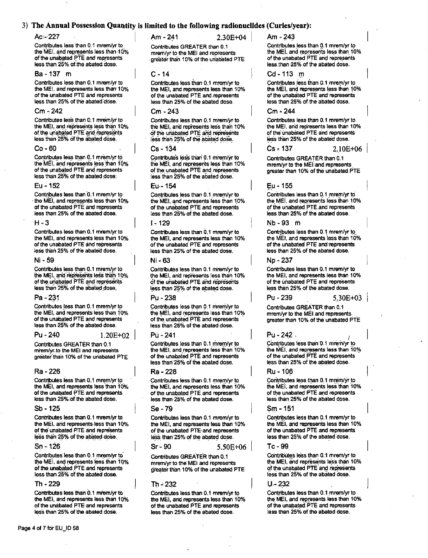## 3) The Annual Possession Quantity is limited to the following radionuclides (Curies/year):

#### Ac: 227

Contributes less than 0.1 mrem/vr to the MEI, and represents less than 10% of the unabated PTE and represents less than 25% of the abated dose.

## Ba - 137 m

Contributes less than 0.1 mrem/vr to the MEI, and represents less than 10% of the unabated PTE and represents less than 25% of the abated dose.

#### $Cm - 242$

Contributes less than 0.1 mrem/vr to the MEI, and represents less than 10% of the unabated PTE and represents less than 25% of the abated dose.

#### $Co-60$

Contributes less than 0.1 mrem/vr to the MEI, and represents less than 10% of the unabated PTE and represents less than 25% of the abated dose.

#### Eu - 152

Contributes less than 0.1 mrem/vr to the MEI, and represents less than 10% of the unabated PTE and represents less than 25% of the abated dose.

#### $H - 3$

Contributes less than 0.1 mrem/vr to the MEI, and represents less than 10% of the unabated PTE and represents less than 25% of the abated dose.

#### Ni - 59

Contributes less than 0.1 mrem/yr to the MEI, and represents less than 10% of the unabated PTE and represents less than 25% of the abated dose.

#### Pa - 231

Contributes less than 0.1 mrem/yr to the MEI, and represents less than 10% of the unabated PTE and represents less than 25% of the abated dose.

#### $Pu - 240$

 $1.20E + 02$ 

Contributes GREATER than 0.1 mrem/vr.to the MEI and represents greater than 10% of the unabated PTE.

#### Ra - 226

Contributes less than 0.1 mrem/vr to the MEI, and represents less than 10% of the unabated PTE and represents less than 25% of the abated dose.

## $Sb - 125$

Contributes less than 0.1 mrem/vr to the MEI, and represents less than 10% of the unabated PTE and represents less than 25% of the abated dose.

#### $Sn - 126$

Contributes less than 0.1 mrem/yr to the MEI, and represents less than 10% of the unabated PTE and represents less than 25% of the abated dose.

#### Th - 229

Contributes less than 0.1 mrem/yr to the MEI, and represents less than 10% of the unabated PTE and represents less than 25% of the abated dose.

Am - 241  $2.30E + 04$ 

Contributes GREATER than 0.1 mrem/vr to the MEI and represents greater than 10% of the unabated PTE

#### $C - 14$

Contributes less than 0.1 mrem/yr to the MEI, and represents less than 10% of the unabated PTE and represents less than 25% of the abated dose.

## Cm - 243

Contributes less than 0.1 mrem/yr to the MEI, and represents less than 10% of the unabated PTE and represents less than 25% of the abated dose.

#### $Cs - 134$

Contributes less than 0.1 mrem/yr to the MEI, and represents less than 10% of the unabated PTE and represents less than 25% of the abated dose.

#### Eu - 154

Contributes less than 0.1 mrem/yr to the MEI, and represents less than 10% of the unabated PTE and represents less than 25% of the abated dose.

#### $1 - 129$

Contributes less than 0.1 mrem/yr to the MEI, and represents less than 10% of the unabated PTE and represents less than 25% of the abated dose.

#### $N - 63$

Contributes less than 0.1 mrem/yr to the MEI, and represents less than 10% of the unabated PTE and represents less than 25% of the abated dose.

### Pu - 238

Contributes less than 0.1 mrem/yr to the MEI, and represents less than 10% of the unabated PTE and represents less than 25% of the abated dose.

#### Pri - 241

Contributes less than 0.1 mrem/yr to the MEI, and represents less than 10% of the unabated PTE and represents less than 25% of the abated dose.

#### Ra - 228

Contributes less than 0.1 mrem/vr to the MEI, and represents less than 10% of the unabated PTE and represents less than 25% of the abated dose.

#### Se - 79

Contributes less than 0.1 mrem/yr to the MEI, and represents less than 10% of the unabated PTE and represents less than 25% of the abated dose.

#### $Sr - 90$

Contributes GREATER than 0.1 mrem/yr to the MEI and represents greater than 10% of the unabated PTE

#### Th - 232

Contributes less than 0.1 mrem/yr to the MEI, and represents less than 10% of the unabated PTE and represents less than 25% of the abated dose.

Am - 243

Contributes less than 0.1 mrem/vr to the MEI, and represents less than 10% of the unabated PTE and represents less than 25% of the abated dose.

#### Cd-113 m

Contributes less than 0.1 mrem/vr to the MEI, and represents less than 10% of the unabated PTE and represents less than 25% of the abated dose.

Contributes less than 0.1 mrem/vr to the MEI, and represents less than 10% of the unabated PTE and represents less than 25% of the abated dose.

2.10E+06

Contributes GREATER than 0.1 mrem/yr to the MEI and represents. greater than 10% of the unabated PTE

#### Eu - 155

Contributes less than 0.1 mrem/yr to the MEI, and represents less than 10% of the unabated PTE and represents less than 25% of the abated dose.

### Nb-93 m

Contributes less than 0.1 mrem/vr to the MEI, and represents less than 10% of the unabated PTE and represents less than 25% of the abated dose.

#### Np - 237

Pu - 239

Contributes less than 0.1 mrem/vr to the MEI, and represents less than 10% of the unabated PTE and represents less than 25% of the abated dose.

 $5.30E + 03$ 

Contributes GREATER than 0.1 mrem/yr to the MEI and represents greater than 10% of the unabated PTE

Pu - 242.

Contributes less than 0.1 mrem/yr to the MEI, and represents less than 10% of the unabated PTE and represents less than 25% of the abated dose.

#### Ru - 106

Contributes less than 0.1 mrem/vr to the MEI, and represents less than 10% of the unabated PTE and represents less than 25% of the abated dose.

#### Sm - 151

Contributes less than 0.1 mrem/vr to the MEI, and represents less than 10% of the unabated PTE and represents less than 25% of the abated dose.

### Tc - 99

Contributes less than 0.1 mrem/yr to the MEI, and represents less than 10% of the unabated PTE and represents less than 25% of the abated dose.

 $U - 232$ 

Contributes less than 0.1 mrem/yr to the MEI, and represents less than 10% of the unabated PTE and represents less than 25% of the abated dose.

 $5.50E + 06$ 

 $Cm - 244$ 

 $Cs - 137$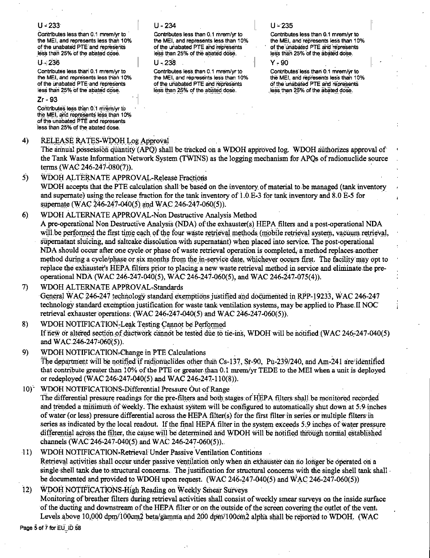## $U - 233$

Contributes less than 0.1 mrem/vr to the MEI, and represents less than 10% of the unabated PTE and represents less than 25% of the abated dose.

### $U - 236$

Contributes less than 0.1 mrem/vr to the MEI, and represents less than 10% of the unabated PTE and represents less than 25% of the abated dose.

## $7r - 93$

Contributes less than 0.1 mrem/vr to the MEI, and represents less than 10% of the unabated PTE and represents less than 25% of the abated dose.

#### $4)$ RELEASE RATES-WDOH Log Approval

 $U - 234$ 

Contributes less than 0.1 mrem/vr to the MEI, and represents less than 10% of the unabated PTE and represents less than 25% of the abated dose.

## $U - 238$

Contributes less than 0.1 mrem/vr to the MEI, and represents less than 10% of the unabated PTE and represents less than 25% of the abated dose.

## $U - 235$

Contributes less than 0.1 mrem/yr to the MEI, and represents less than 10% of the unabated PTE and represents less than 25% of the abated dose.

v . an

Contributes less than 0.1 mrem/vr to the MEI, and represents less than 10% of the unabated PTE and represents less than 25% of the abated dose.

The annual possession quantity (APQ) shall be tracked on a WDOH approved log. WDOH authorizes approval of the Tank Waste Information Network System (TWINS) as the logging mechanism for APOs of radionuclide source terms (WAC 246-247-080(7)).

 $\overline{5}$ WDOH ALTERNATE APPROVAL-Release Fractions WDOH accepts that the PTE calculation shall be based on the inventory of material to be managed (tank inventory and supernate) using the release fraction for the tank inventory of 1.0.E-3 for tank inventory and 8.0 E-5 for supernate (WAC 246-247-040(5) and WAC 246-247-060(5)).

WDOH ALTERNATE APPROVAL-Non Destructive Analysis Method  $6)$ 

A pre-operational Non Destructive Analysis (NDA) of the exhauster(s) HEPA filters and a post-operational NDA will be performed the first time each of the four waste retrieval methods (mobile retrieval system, vacuum retrieval, supernatant sluicing, and saltcake dissolution with supernatant) when placed into service. The post-operational NDA should occur after one cycle or phase of waste retrieval operation is completed, a method replaces another method during a cycle/phase or six months from the in-service date, whichever occurs first. The facility may opt to replace the exhauster's HEPA filters prior to placing a new waste retrieval method in service and eliminate the preoperational NDA (WAC 246-247-040(5), WAC 246-247-060(5), and WAC 246-247-075(4)).

WDOH ALTERNATE APPROVAL-Standards  $\mathcal{D}$ General WAC 246-247 technology standard exemptions justified and documented in RPP-19233, WAC 246-247 technology standard exemption justification for waste tank ventilation systems, may be applied to Phase II NOC retrieval exhauster operations: (WAC 246-247-040(5) and WAC 246-247-060(5)).

8) WDOH NOTIFICATION-Leak Testing Cannot be Performed If new or altered section of ductwork cannot be tested due to tie-ins. WDOH will be notified (WAC 246-247-040(5) and WAC 246-247-060(5)).

- 9) WDOH NOTIFICATION-Change in PTE Calculations The department will be notified if radionuclides other than Cs-137, Sr-90, Pu-239/240, and Am-241 are identified that contribute greater than 10% of the PTE or greater than 0.1 mrem/yr TEDE to the MEI when a unit is deployed or redeployed (WAC 246-247-040(5) and WAC 246-247-110(8)).
- WDOH NOTIFICATIONS-Differential Pressure Out of Range  $10^{\circ}$ The differential pressure readings for the pre-filters and both stages of HEPA filters shall be monitored recorded and trended a minimum of weekly. The exhaust system will be configured to automatically shut down at 5.9 inches of water (or less) pressure differential across the HEPA filter(s) for the first filter in series or multiple filters in series as indicated by the local readout. If the final HEPA filter in the system exceeds 5.9 inches of water pressure differential across the filter, the cause will be determined and WDOH will be notified through normal established channels (WAC 246-247-040(5) and WAC 246-247-060(5)).
- WDOH NOTIFICATION-Retrieval Under Passive Ventilation Contitions  $(11)$ Retrieval activities shall occur under passive ventilation only when an exhauster can no longer be operated on a single shell tank due to structural concerns. The justification for structural concerns with the single shell tank shall be documented and provided to WDOH upon request. ( $WAC$  246-247-040(5) and  $WAC$  246-247-060(5))

 $\overline{12}$ WDOH NOTIFICATIONS-High Reading on Weekly Smear Surveys Monitoring of breather filters during retrieval activities shall consist of weekly smear surveys on the inside surface of the ducting and downstream of the HEPA filter or on the outside of the screen covering the outlet of the vent. Levels above 10,000 dpm/100cm2 beta/gamma and 200 dpm/100cm2 alpha shall be reported to WDOH. (WAC

Page 5 of 7 for EU\_ID 58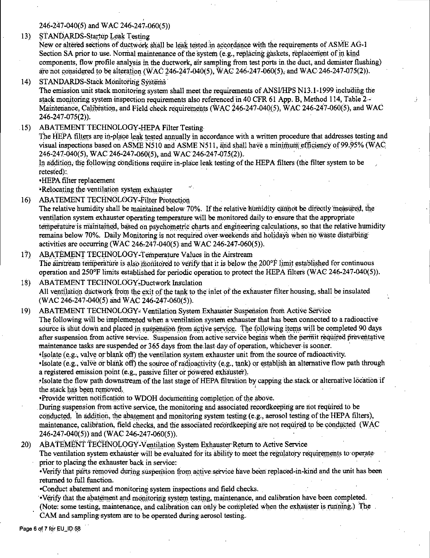246-247-040(5) and WAC 246-247-060(5))

STANDARDS-Startup Leak Testing  $13)$ 

New or altered sections of ductwork shall be leak tested in accordance with the requirements of ASME AG-1 Section SA prior to use. Normal maintenance of the system (e.g., replacing gaskets, replacement of in kind components, flow profile analysis in the ductwork, air sampling from test ports in the duct, and demister flushing) are not considered to be alteration (WAC 246-247-040(5), WAC 246-247-060(5), and WAC 246-247-075(2)).

STANDARDS-Stack Monitoring Systems  $14)$ 

The emission unit stack monitoring system shall meet the requirements of ANSI/HPS N13.1-1999 including the stack monitoring system inspection requirements also referenced in 40 CFR 61 App. B, Method 114, Table  $2 -$ Maintenance, Calibration, and Field check requirements (WAC 246-247-040(5), WAC 246-247-060(5), and WAC 246-247-075(2)).

ABATEMENT TECHNOLOGY-HEPA Filter Testing  $15)$ 

> The HEPA filters are in-place leak tested annually in accordance with a written procedure that addresses testing and visual inspections based on ASME N510 and ASME N511, and shall have a minimum efficiency of 99.95% (WAC 246-247-040(5), WAC 246-247-060(5), and WAC 246-247-075(2)).

In addition, the following conditions require in-place leak testing of the HEPA filters (the filter system to be retested):

•HEPA filter replacement

•Relocating the ventilation system exhauster

ABATEMENT TECHNOLOGY-Filter Protection  $16)$ 

The relative humidity shall be maintained below 70%. If the relative humidity cannot be directly measured, the ventilation system exhauster operating temperature will be monitored daily to ensure that the appropriate temperature is maintained, based on psychometric charts and engineering calculations, so that the relative humidity remains below 70%. Daily Monitoring is not required over weekends and holidays when no waste disturbing activities are occurring (WAC 246-247-040(5) and WAC 246-247-060(5)).

- $17)$ ABATEMENT TECHNOLOGY-Temperature Values in the Airstream The airstream temperature is also monitored to verify that it is below the 200°F limit established for continuous operation and  $250^{\circ}$ F limits established for periodic operation to protect the HEPA filters (WAC 246-247-040(5)).
- ABATEMENT TECHNOLOGY-Ductwork Insulation  $18)$ All ventilation ductwork from the exit of the tank to the inlet of the exhauster filter housing, shall be insulated (WAC 246-247-040(5) and WAC 246-247-060(5)).

ABATEMENT TECHNOLOGY-Ventilation System Exhauster Suspension from Active Service  $19<sub>1</sub>$ The following will be implemented when a ventilation system exhauster that has been connected to a radioactive source is shut down and placed in suspension from active service. The following items will be completed 90 days after suspension from active service. Suspension from active service begins when the permit required preventative maintenance tasks are suspended or 365 days from the last day of operation, whichever is sooner.

Isolate (e.g., valve or blank off) the ventilation system exhauster unit from the source of radioactivity. . Isolate (e.g., valve or blank off) the source of radioactivity (e.g., tank) or establish an alternative flow path through a registered emission point (e.g., passive filter or powered exhauster).

·Isolate the flow path downstream of the last stage of HEPA filtration by capping the stack or alternative location if the stack has been removed.

•Provide written notification to WDOH documenting completion of the above.

During suspension from active service, the monitoring and associated recordkeeping are not required to be conducted. In addition, the abatement and monitoring system testing (e.g., aerosol testing of the HEPA filters), maintenance, calibration, field checks, and the associated recordkeeping are not required to be conducted (WAC 246-247-040(5)) and (WAC 246-247-060(5)).

ABATEMENT TECHNOLOGY-Ventilation System Exhauster Return to Active Service  $20)$ 

The ventilation system exhauster will be evaluated for its ability to meet the regulatory requirements to operate prior to placing the exhauster back in service:

•Verify that parts removed during suspension from active service have been replaced-in-kind and the unit has been returned to full function.

•Conduct abatement and monitoring system inspections and field checks.

. Verify that the abatement and monitoring system testing, maintenance, and calibration have been completed.

(Note: some testing, maintenance, and calibration can only be completed when the exhauster is running.) The

CAM and sampling system are to be operated during aerosol testing.

Page 6 of 7 for EU\_ID:58